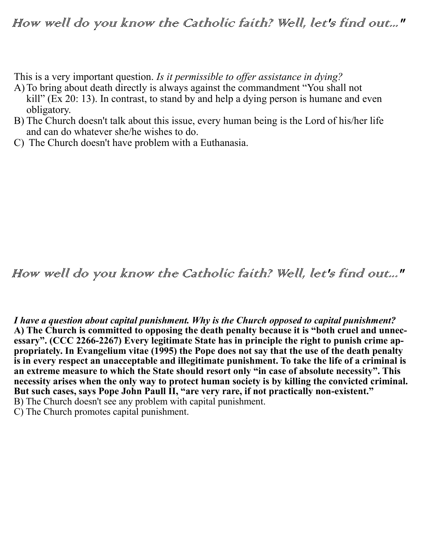This is a very important question. *Is it permissible to offer assistance in dying?*

- A)To bring about death directly is always against the commandment "You shall not kill" (Ex 20: 13). In contrast, to stand by and help a dying person is humane and even obligatory.
- B) The Church doesn't talk about this issue, every human being is the Lord of his/her life and can do whatever she/he wishes to do.
- C) The Church doesn't have problem with a Euthanasia.

## How well do you know the Catholic faith? Well, let's find out..."

*I have a question about capital punishment. Why is the Church opposed to capital punishment?* **A) The Church is committed to opposing the death penalty because it is "both cruel and unnecessary". (CCC 2266-2267) Every legitimate State has in principle the right to punish crime appropriately. In Evangelium vitae (1995) the Pope does not say that the use of the death penalty is in every respect an unacceptable and illegitimate punishment. To take the life of a criminal is an extreme measure to which the State should resort only "in case of absolute necessity". This necessity arises when the only way to protect human society is by killing the convicted criminal. But such cases, says Pope John Paull II, "are very rare, if not practically non-existent."**  B) The Church doesn't see any problem with capital punishment.

C) The Church promotes capital punishment.